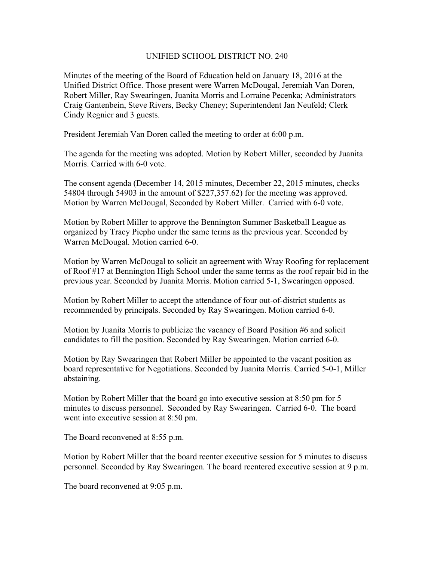## UNIFIED SCHOOL DISTRICT NO. 240

Minutes of the meeting of the Board of Education held on January 18, 2016 at the Unified District Office. Those present were Warren McDougal, Jeremiah Van Doren, Robert Miller, Ray Swearingen, Juanita Morris and Lorraine Pecenka; Administrators Craig Gantenbein, Steve Rivers, Becky Cheney; Superintendent Jan Neufeld; Clerk Cindy Regnier and 3 guests.

President Jeremiah Van Doren called the meeting to order at 6:00 p.m.

The agenda for the meeting was adopted. Motion by Robert Miller, seconded by Juanita Morris. Carried with 6-0 vote.

The consent agenda (December 14, 2015 minutes, December 22, 2015 minutes, checks 54804 through 54903 in the amount of \$227,357.62) for the meeting was approved. Motion by Warren McDougal, Seconded by Robert Miller. Carried with 6-0 vote.

Motion by Robert Miller to approve the Bennington Summer Basketball League as organized by Tracy Piepho under the same terms as the previous year. Seconded by Warren McDougal. Motion carried 6-0.

Motion by Warren McDougal to solicit an agreement with Wray Roofing for replacement of Roof #17 at Bennington High School under the same terms as the roof repair bid in the previous year. Seconded by Juanita Morris. Motion carried 5-1, Swearingen opposed.

Motion by Robert Miller to accept the attendance of four out-of-district students as recommended by principals. Seconded by Ray Swearingen. Motion carried 6-0.

Motion by Juanita Morris to publicize the vacancy of Board Position #6 and solicit candidates to fill the position. Seconded by Ray Swearingen. Motion carried 6-0.

Motion by Ray Swearingen that Robert Miller be appointed to the vacant position as board representative for Negotiations. Seconded by Juanita Morris. Carried 5-0-1, Miller abstaining.

Motion by Robert Miller that the board go into executive session at 8:50 pm for 5 minutes to discuss personnel. Seconded by Ray Swearingen. Carried 6-0. The board went into executive session at 8:50 pm.

The Board reconvened at 8:55 p.m.

Motion by Robert Miller that the board reenter executive session for 5 minutes to discuss personnel. Seconded by Ray Swearingen. The board reentered executive session at 9 p.m.

The board reconvened at 9:05 p.m.